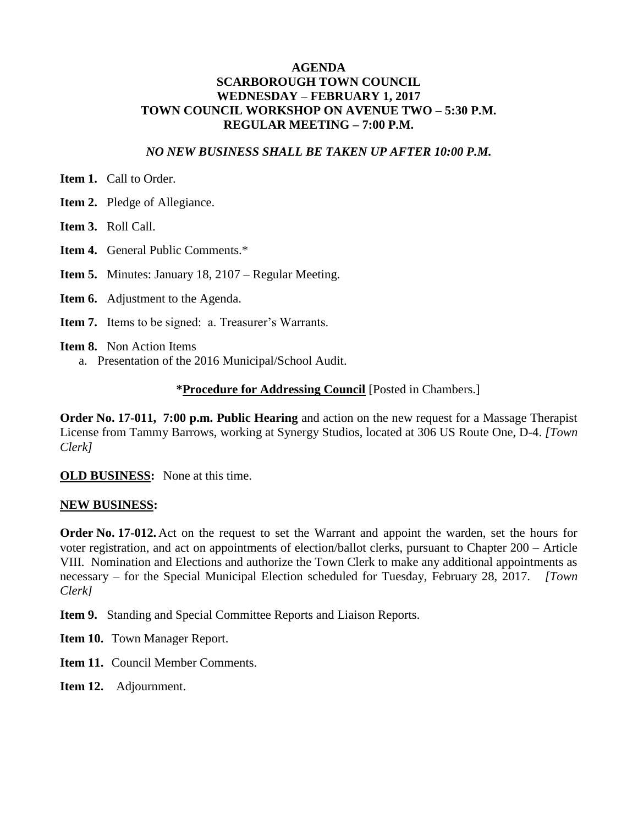## **AGENDA SCARBOROUGH TOWN COUNCIL WEDNESDAY – FEBRUARY 1, 2017 TOWN COUNCIL WORKSHOP ON AVENUE TWO – 5:30 P.M. REGULAR MEETING – 7:00 P.M.**

### *NO NEW BUSINESS SHALL BE TAKEN UP AFTER 10:00 P.M.*

**Item 1.** Call to Order.

**Item 2.** Pledge of Allegiance.

**Item 3.** Roll Call.

**Item 4.** General Public Comments.\*

**Item 5.** Minutes: January 18, 2107 – Regular Meeting.

**Item 6.** Adjustment to the Agenda.

**Item 7.** Items to be signed: a. Treasurer's Warrants.

**Item 8.** Non Action Items

a. Presentation of the 2016 Municipal/School Audit.

### **\*Procedure for Addressing Council** [Posted in Chambers.]

**Order No. 17-011, 7:00 p.m. Public Hearing** and action on the new request for a Massage Therapist License from Tammy Barrows, working at Synergy Studios, located at 306 US Route One, D-4. *[Town Clerk]*

**OLD BUSINESS:** None at this time.

#### **NEW BUSINESS:**

**Order No. 17-012.** Act on the request to set the Warrant and appoint the warden, set the hours for voter registration, and act on appointments of election/ballot clerks, pursuant to Chapter 200 – Article VIII. Nomination and Elections and authorize the Town Clerk to make any additional appointments as necessary – for the Special Municipal Election scheduled for Tuesday, February 28, 2017. *[Town Clerk]*

**Item 9.** Standing and Special Committee Reports and Liaison Reports.

**Item 10.** Town Manager Report.

**Item 11.** Council Member Comments.

**Item 12.** Adjournment.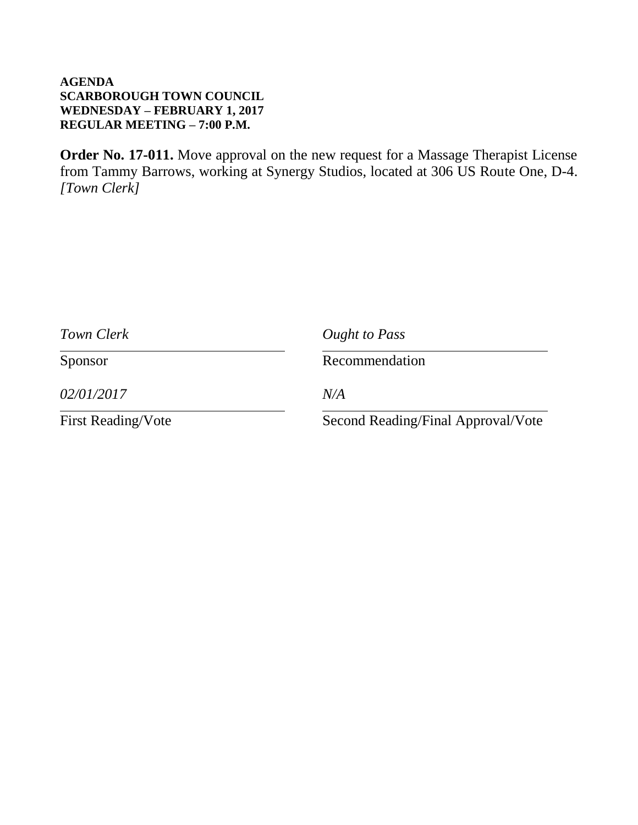# **AGENDA SCARBOROUGH TOWN COUNCIL WEDNESDAY – FEBRUARY 1, 2017 REGULAR MEETING – 7:00 P.M.**

**Order No. 17-011.** Move approval on the new request for a Massage Therapist License from Tammy Barrows, working at Synergy Studios, located at 306 US Route One, D-4. *[Town Clerk]*

| Town Clerk                | Ought to Pass                      |
|---------------------------|------------------------------------|
| Sponsor                   | Recommendation                     |
| 02/01/2017                | N/A                                |
| <b>First Reading/Vote</b> | Second Reading/Final Approval/Vote |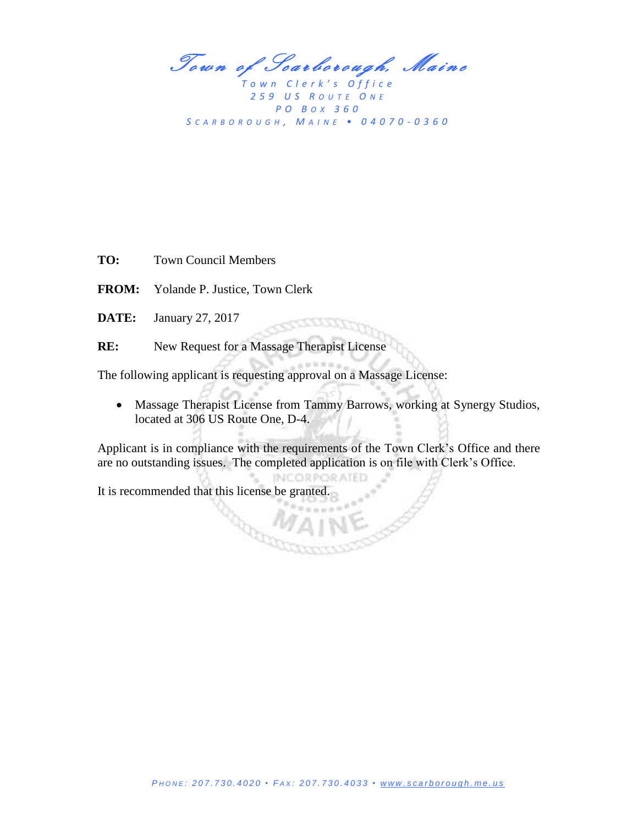Town of Scarborough, Maine

*T o w n C l e r k ' s O f f i c e 2 5 9 U S R O U T E O N E P O B OX 3 6 0 S C A R B O R O U G H , M A I N E • 0 4 0 7 0 - 0 3 6 0*

**TO:** Town Council Members

**FROM:** Yolande P. Justice, Town Clerk

**DATE:** January 27, 2017

**RE:** New Request for a Massage Therapist License

The following applicant is requesting approval on a Massage License:

R.

 Massage Therapist License from Tammy Barrows, working at Synergy Studios, located at 306 US Route One, D-4.

----

Applicant is in compliance with the requirements of the Town Clerk's Office and there are no outstanding issues. The completed application is on file with Clerk's Office.

**INCORPORATED** 

It is recommended that this license be granted.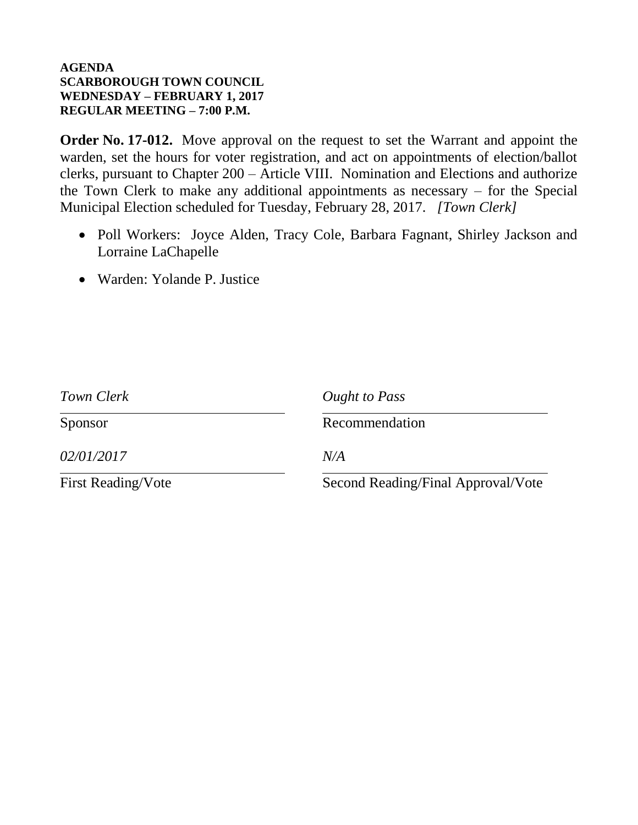# **AGENDA SCARBOROUGH TOWN COUNCIL WEDNESDAY – FEBRUARY 1, 2017 REGULAR MEETING – 7:00 P.M.**

**Order No. 17-012.** Move approval on the request to set the Warrant and appoint the warden, set the hours for voter registration, and act on appointments of election/ballot clerks, pursuant to Chapter 200 – Article VIII. Nomination and Elections and authorize the Town Clerk to make any additional appointments as necessary – for the Special Municipal Election scheduled for Tuesday, February 28, 2017. *[Town Clerk]*

- Poll Workers: Joyce Alden, Tracy Cole, Barbara Fagnant, Shirley Jackson and Lorraine LaChapelle
- Warden: Yolande P. Justice

| Town Clerk                | Ought to Pass                      |
|---------------------------|------------------------------------|
| Sponsor                   | Recommendation                     |
| 02/01/2017                | N/A                                |
| <b>First Reading/Vote</b> | Second Reading/Final Approval/Vote |